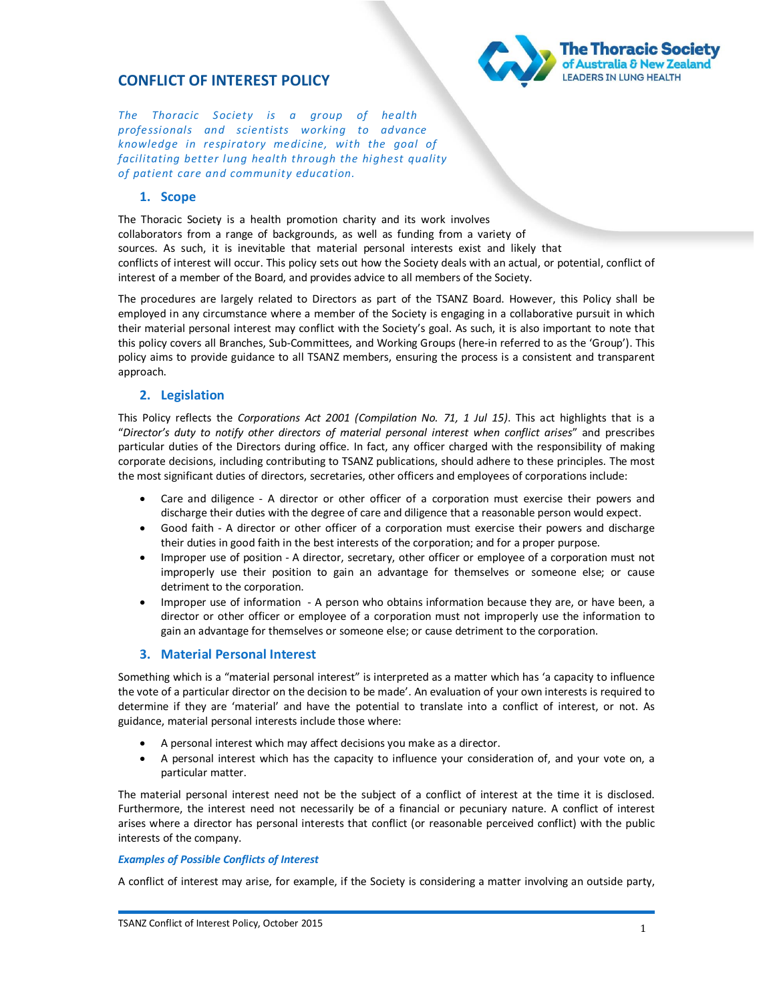## **CONFLICT OF INTEREST POLICY**



*The Thoracic Society is a group of health professionals and scientists working to advance knowledge in respiratory medicine, with the goal of facilitating better lung health through the highest quality of patient care and community education.* 

## **1. Scope**

The Thoracic Society is a health promotion charity and its work involves collaborators from a range of backgrounds, as well as funding from a variety of sources. As such, it is inevitable that material personal interests exist and likely that conflicts of interest will occur. This policy sets out how the Society deals with an actual, or potential, conflict of interest of a member of the Board, and provides advice to all members of the Society.

The procedures are largely related to Directors as part of the TSANZ Board. However, this Policy shall be employed in any circumstance where a member of the Society is engaging in a collaborative pursuit in which their material personal interest may conflict with the Society's goal. As such, it is also important to note that this policy covers all Branches, Sub-Committees, and Working Groups (here-in referred to as the 'Group'). This policy aims to provide guidance to all TSANZ members, ensuring the process is a consistent and transparent approach.

## **2. Legislation**

This Policy reflects the *Corporations Act 2001 (Compilation No. 71, 1 Jul 15)*. This act highlights that is a "*Director's duty to notify other directors of material personal interest when conflict arises*" and prescribes particular duties of the Directors during office. In fact, any officer charged with the responsibility of making corporate decisions, including contributing to TSANZ publications, should adhere to these principles. The most the most significant duties of directors, secretaries, other officers and employees of corporations include:

- · Care and diligence A director or other officer of a corporation must exercise their powers and discharge their duties with the degree of care and diligence that a reasonable person would expect.
- · Good faith A director or other officer of a corporation must exercise their powers and discharge their duties in good faith in the best interests of the corporation; and for a proper purpose.
- · Improper use of position A director, secretary, other officer or employee of a corporation must not improperly use their position to gain an advantage for themselves or someone else; or cause detriment to the corporation.
- · Improper use of information A person who obtains information because they are, or have been, a director or other officer or employee of a corporation must not improperly use the information to gain an advantage for themselves or someone else; or cause detriment to the corporation.

### **3. Material Personal Interest**

Something which is a "material personal interest" is interpreted as a matter which has 'a capacity to influence the vote of a particular director on the decision to be made'. An evaluation of your own interests is required to determine if they are 'material' and have the potential to translate into a conflict of interest, or not. As guidance, material personal interests include those where:

- A personal interest which may affect decisions you make as a director.
- A personal interest which has the capacity to influence your consideration of, and your vote on, a particular matter.

The material personal interest need not be the subject of a conflict of interest at the time it is disclosed. Furthermore, the interest need not necessarily be of a financial or pecuniary nature. A conflict of interest arises where a director has personal interests that conflict (or reasonable perceived conflict) with the public interests of the company.

#### *Examples of Possible Conflicts of Interest*

A conflict of interest may arise, for example, if the Society is considering a matter involving an outside party,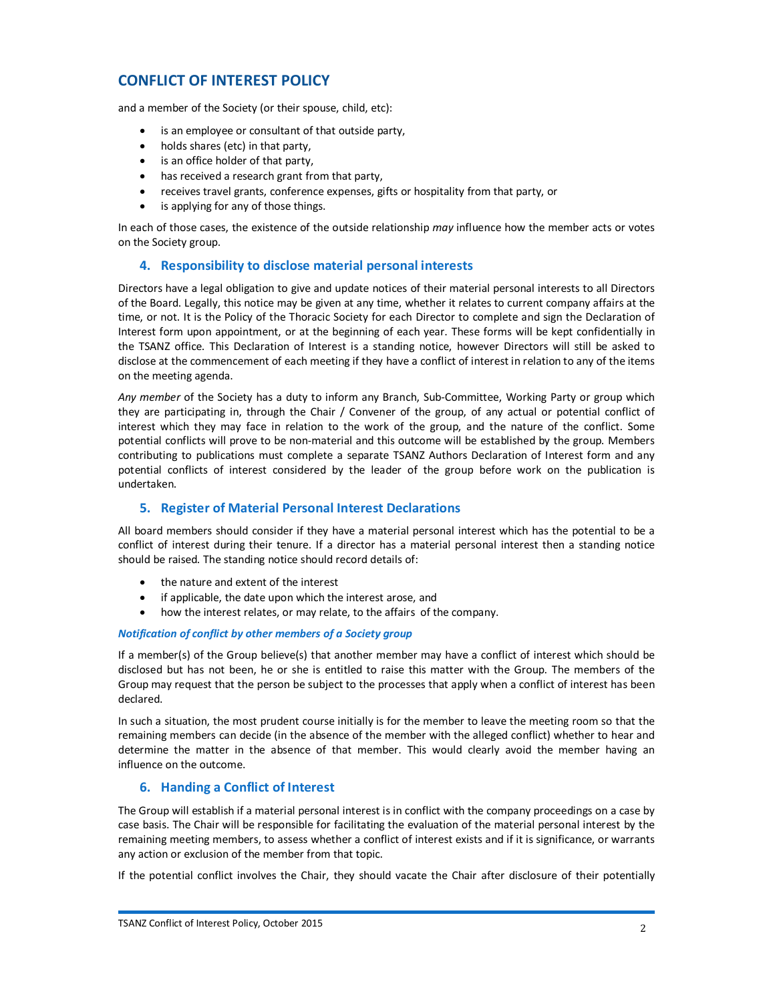# **CONFLICT OF INTEREST POLICY**

and a member of the Society (or their spouse, child, etc):

- · is an employee or consultant of that outside party,
- · holds shares (etc) in that party,
- · is an office holder of that party,
- · has received a research grant from that party,
- · receives travel grants, conference expenses, gifts or hospitality from that party, or
- · is applying for any of those things.

In each of those cases, the existence of the outside relationship *may* influence how the member acts or votes on the Society group.

### **4. Responsibility to disclose material personal interests**

Directors have a legal obligation to give and update notices of their material personal interests to all Directors of the Board. Legally, this notice may be given at any time, whether it relates to current company affairs at the time, or not. It is the Policy of the Thoracic Society for each Director to complete and sign the Declaration of Interest form upon appointment, or at the beginning of each year. These forms will be kept confidentially in the TSANZ office. This Declaration of Interest is a standing notice, however Directors will still be asked to disclose at the commencement of each meeting if they have a conflict of interest in relation to any of the items on the meeting agenda.

*Any member* of the Society has a duty to inform any Branch, Sub-Committee, Working Party or group which they are participating in, through the Chair / Convener of the group, of any actual or potential conflict of interest which they may face in relation to the work of the group, and the nature of the conflict. Some potential conflicts will prove to be non-material and this outcome will be established by the group. Members contributing to publications must complete a separate TSANZ Authors Declaration of Interest form and any potential conflicts of interest considered by the leader of the group before work on the publication is undertaken.

## **5. Register of Material Personal Interest Declarations**

All board members should consider if they have a material personal interest which has the potential to be a conflict of interest during their tenure. If a director has a material personal interest then a standing notice should be raised. The standing notice should record details of:

- · the nature and extent of the interest
- · if applicable, the date upon which the interest arose, and
- how the interest relates, or may relate, to the affairs of the company.

#### *Notification of conflict by other members of a Society group*

If a member(s) of the Group believe(s) that another member may have a conflict of interest which should be disclosed but has not been, he or she is entitled to raise this matter with the Group. The members of the Group may request that the person be subject to the processes that apply when a conflict of interest has been declared.

In such a situation, the most prudent course initially is for the member to leave the meeting room so that the remaining members can decide (in the absence of the member with the alleged conflict) whether to hear and determine the matter in the absence of that member. This would clearly avoid the member having an influence on the outcome.

### **6. Handing a Conflict of Interest**

The Group will establish if a material personal interest is in conflict with the company proceedings on a case by case basis. The Chair will be responsible for facilitating the evaluation of the material personal interest by the remaining meeting members, to assess whether a conflict of interest exists and if it is significance, or warrants any action or exclusion of the member from that topic.

If the potential conflict involves the Chair, they should vacate the Chair after disclosure of their potentially